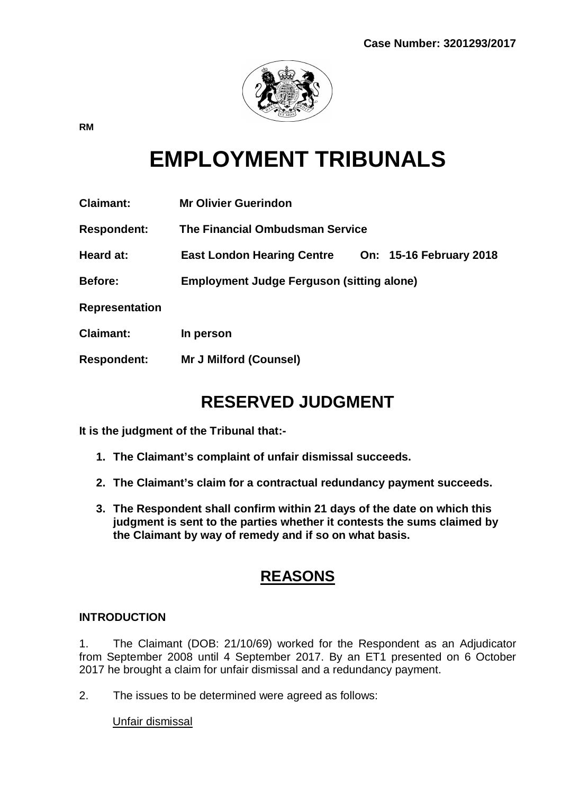

**RM**

# **EMPLOYMENT TRIBUNALS**

| <b>Claimant:</b>      | <b>Mr Olivier Guerindon</b>                      |  |                                |
|-----------------------|--------------------------------------------------|--|--------------------------------|
| <b>Respondent:</b>    | <b>The Financial Ombudsman Service</b>           |  |                                |
| Heard at:             | <b>East London Hearing Centre</b>                |  | <b>On: 15-16 February 2018</b> |
| <b>Before:</b>        | <b>Employment Judge Ferguson (sitting alone)</b> |  |                                |
| <b>Representation</b> |                                                  |  |                                |
| <b>Claimant:</b>      | In person                                        |  |                                |
| <b>Respondent:</b>    | <b>Mr J Milford (Counsel)</b>                    |  |                                |

## **RESERVED JUDGMENT**

**It is the judgment of the Tribunal that:-**

- **1. The Claimant's complaint of unfair dismissal succeeds.**
- **2. The Claimant's claim for a contractual redundancy payment succeeds.**
- **3. The Respondent shall confirm within 21 days of the date on which this judgment is sent to the parties whether it contests the sums claimed by the Claimant by way of remedy and if so on what basis.**

### **REASONS**

#### **INTRODUCTION**

1. The Claimant (DOB: 21/10/69) worked for the Respondent as an Adjudicator from September 2008 until 4 September 2017. By an ET1 presented on 6 October 2017 he brought a claim for unfair dismissal and a redundancy payment.

2. The issues to be determined were agreed as follows:

Unfair dismissal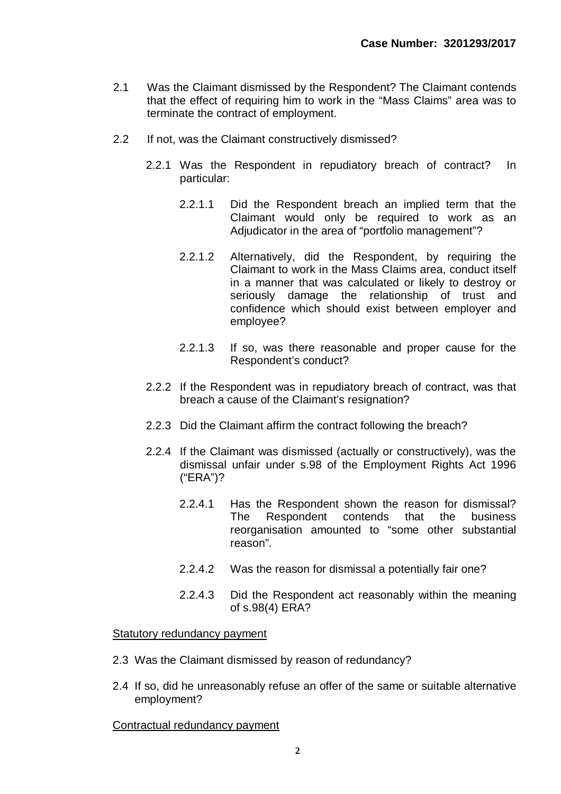- 2.1 Was the Claimant dismissed by the Respondent? The Claimant contends that the effect of requiring him to work in the "Mass Claims" area was to terminate the contract of employment.
- 2.2 If not, was the Claimant constructively dismissed?
	- 2.2.1 Was the Respondent in repudiatory breach of contract? In particular:
		- 2.2.1.1 Did the Respondent breach an implied term that the Claimant would only be required to work as an Adjudicator in the area of "portfolio management"?
		- 2.2.1.2 Alternatively, did the Respondent, by requiring the Claimant to work in the Mass Claims area, conduct itself in a manner that was calculated or likely to destroy or seriously damage the relationship of trust and confidence which should exist between employer and employee?
		- 2.2.1.3 If so, was there reasonable and proper cause for the Respondent's conduct?
	- 2.2.2 If the Respondent was in repudiatory breach of contract, was that breach a cause of the Claimant's resignation?
	- 2.2.3 Did the Claimant affirm the contract following the breach?
	- 2.2.4 If the Claimant was dismissed (actually or constructively), was the dismissal unfair under s.98 of the Employment Rights Act 1996 ("ERA")?
		- 2.2.4.1 Has the Respondent shown the reason for dismissal? The Respondent contends that the business reorganisation amounted to "some other substantial reason".
		- 2.2.4.2 Was the reason for dismissal a potentially fair one?
		- 2.2.4.3 Did the Respondent act reasonably within the meaning of s.98(4) ERA?

Statutory redundancy payment

- 2.3 Was the Claimant dismissed by reason of redundancy?
- 2.4 If so, did he unreasonably refuse an offer of the same or suitable alternative employment?

Contractual redundancy payment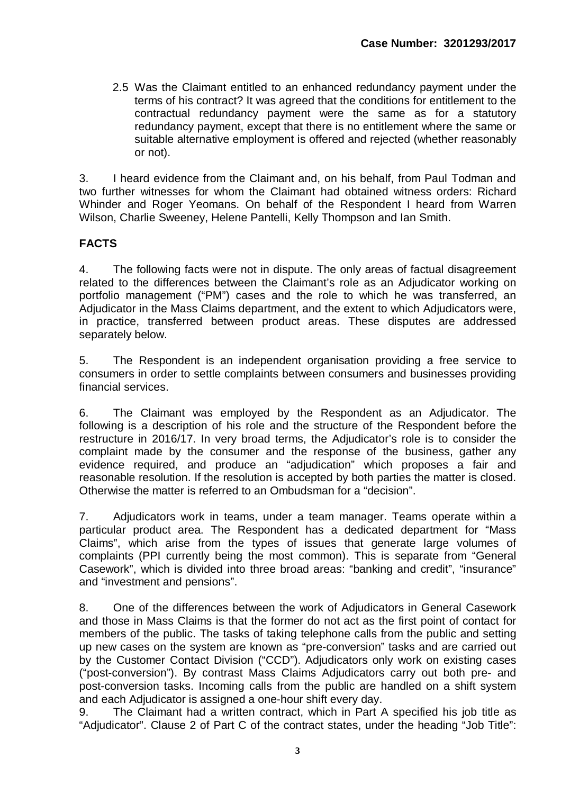2.5 Was the Claimant entitled to an enhanced redundancy payment under the terms of his contract? It was agreed that the conditions for entitlement to the contractual redundancy payment were the same as for a statutory redundancy payment, except that there is no entitlement where the same or suitable alternative employment is offered and rejected (whether reasonably or not).

3. I heard evidence from the Claimant and, on his behalf, from Paul Todman and two further witnesses for whom the Claimant had obtained witness orders: Richard Whinder and Roger Yeomans. On behalf of the Respondent I heard from Warren Wilson, Charlie Sweeney, Helene Pantelli, Kelly Thompson and Ian Smith.

#### **FACTS**

4. The following facts were not in dispute. The only areas of factual disagreement related to the differences between the Claimant's role as an Adjudicator working on portfolio management ("PM") cases and the role to which he was transferred, an Adjudicator in the Mass Claims department, and the extent to which Adjudicators were, in practice, transferred between product areas. These disputes are addressed separately below.

5. The Respondent is an independent organisation providing a free service to consumers in order to settle complaints between consumers and businesses providing financial services.

6. The Claimant was employed by the Respondent as an Adjudicator. The following is a description of his role and the structure of the Respondent before the restructure in 2016/17. In very broad terms, the Adjudicator's role is to consider the complaint made by the consumer and the response of the business, gather any evidence required, and produce an "adjudication" which proposes a fair and reasonable resolution. If the resolution is accepted by both parties the matter is closed. Otherwise the matter is referred to an Ombudsman for a "decision".

7. Adjudicators work in teams, under a team manager. Teams operate within a particular product area. The Respondent has a dedicated department for "Mass Claims", which arise from the types of issues that generate large volumes of complaints (PPI currently being the most common). This is separate from "General Casework", which is divided into three broad areas: "banking and credit", "insurance" and "investment and pensions".

8. One of the differences between the work of Adjudicators in General Casework and those in Mass Claims is that the former do not act as the first point of contact for members of the public. The tasks of taking telephone calls from the public and setting up new cases on the system are known as "pre-conversion" tasks and are carried out by the Customer Contact Division ("CCD"). Adjudicators only work on existing cases ("post-conversion"). By contrast Mass Claims Adjudicators carry out both pre- and post-conversion tasks. Incoming calls from the public are handled on a shift system and each Adjudicator is assigned a one-hour shift every day.

9. The Claimant had a written contract, which in Part A specified his job title as "Adjudicator". Clause 2 of Part C of the contract states, under the heading "Job Title":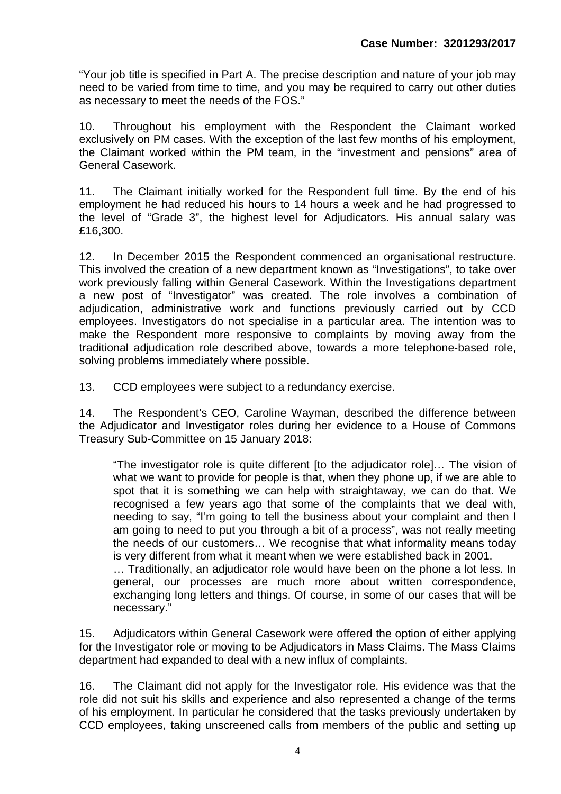"Your job title is specified in Part A. The precise description and nature of your job may need to be varied from time to time, and you may be required to carry out other duties as necessary to meet the needs of the FOS."

10. Throughout his employment with the Respondent the Claimant worked exclusively on PM cases. With the exception of the last few months of his employment, the Claimant worked within the PM team, in the "investment and pensions" area of General Casework.

11. The Claimant initially worked for the Respondent full time. By the end of his employment he had reduced his hours to 14 hours a week and he had progressed to the level of "Grade 3", the highest level for Adjudicators. His annual salary was £16,300.

12. In December 2015 the Respondent commenced an organisational restructure. This involved the creation of a new department known as "Investigations", to take over work previously falling within General Casework. Within the Investigations department a new post of "Investigator" was created. The role involves a combination of adjudication, administrative work and functions previously carried out by CCD employees. Investigators do not specialise in a particular area. The intention was to make the Respondent more responsive to complaints by moving away from the traditional adjudication role described above, towards a more telephone-based role, solving problems immediately where possible.

13. CCD employees were subject to a redundancy exercise.

14. The Respondent's CEO, Caroline Wayman, described the difference between the Adjudicator and Investigator roles during her evidence to a House of Commons Treasury Sub-Committee on 15 January 2018:

"The investigator role is quite different [to the adjudicator role]… The vision of what we want to provide for people is that, when they phone up, if we are able to spot that it is something we can help with straightaway, we can do that. We recognised a few years ago that some of the complaints that we deal with, needing to say, "I'm going to tell the business about your complaint and then I am going to need to put you through a bit of a process", was not really meeting the needs of our customers… We recognise that what informality means today is very different from what it meant when we were established back in 2001.

… Traditionally, an adjudicator role would have been on the phone a lot less. In general, our processes are much more about written correspondence, exchanging long letters and things. Of course, in some of our cases that will be necessary."

15. Adjudicators within General Casework were offered the option of either applying for the Investigator role or moving to be Adjudicators in Mass Claims. The Mass Claims department had expanded to deal with a new influx of complaints.

16. The Claimant did not apply for the Investigator role. His evidence was that the role did not suit his skills and experience and also represented a change of the terms of his employment. In particular he considered that the tasks previously undertaken by CCD employees, taking unscreened calls from members of the public and setting up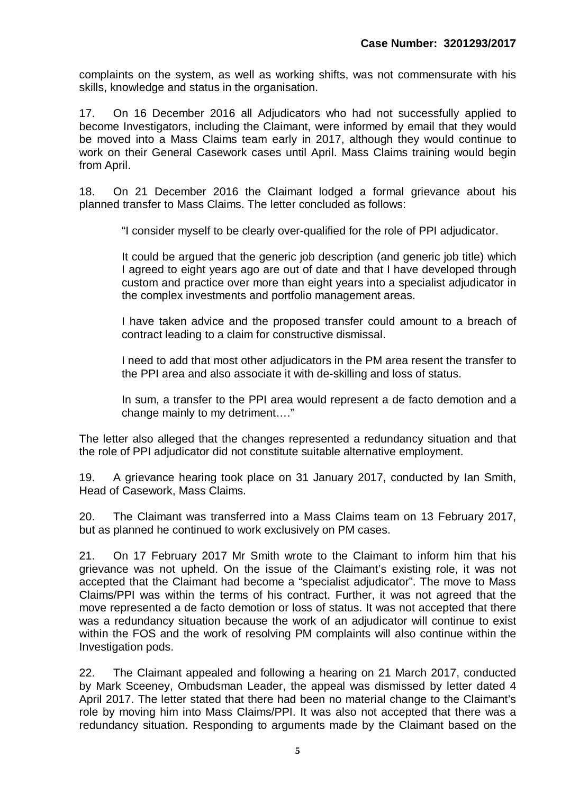complaints on the system, as well as working shifts, was not commensurate with his skills, knowledge and status in the organisation.

17. On 16 December 2016 all Adjudicators who had not successfully applied to become Investigators, including the Claimant, were informed by email that they would be moved into a Mass Claims team early in 2017, although they would continue to work on their General Casework cases until April. Mass Claims training would begin from April.

18. On 21 December 2016 the Claimant lodged a formal grievance about his planned transfer to Mass Claims. The letter concluded as follows:

"I consider myself to be clearly over-qualified for the role of PPI adjudicator.

It could be argued that the generic job description (and generic job title) which I agreed to eight years ago are out of date and that I have developed through custom and practice over more than eight years into a specialist adjudicator in the complex investments and portfolio management areas.

I have taken advice and the proposed transfer could amount to a breach of contract leading to a claim for constructive dismissal.

I need to add that most other adjudicators in the PM area resent the transfer to the PPI area and also associate it with de-skilling and loss of status.

In sum, a transfer to the PPI area would represent a de facto demotion and a change mainly to my detriment…."

The letter also alleged that the changes represented a redundancy situation and that the role of PPI adjudicator did not constitute suitable alternative employment.

19. A grievance hearing took place on 31 January 2017, conducted by Ian Smith, Head of Casework, Mass Claims.

20. The Claimant was transferred into a Mass Claims team on 13 February 2017, but as planned he continued to work exclusively on PM cases.

21. On 17 February 2017 Mr Smith wrote to the Claimant to inform him that his grievance was not upheld. On the issue of the Claimant's existing role, it was not accepted that the Claimant had become a "specialist adjudicator". The move to Mass Claims/PPI was within the terms of his contract. Further, it was not agreed that the move represented a de facto demotion or loss of status. It was not accepted that there was a redundancy situation because the work of an adjudicator will continue to exist within the FOS and the work of resolving PM complaints will also continue within the Investigation pods.

22. The Claimant appealed and following a hearing on 21 March 2017, conducted by Mark Sceeney, Ombudsman Leader, the appeal was dismissed by letter dated 4 April 2017. The letter stated that there had been no material change to the Claimant's role by moving him into Mass Claims/PPI. It was also not accepted that there was a redundancy situation. Responding to arguments made by the Claimant based on the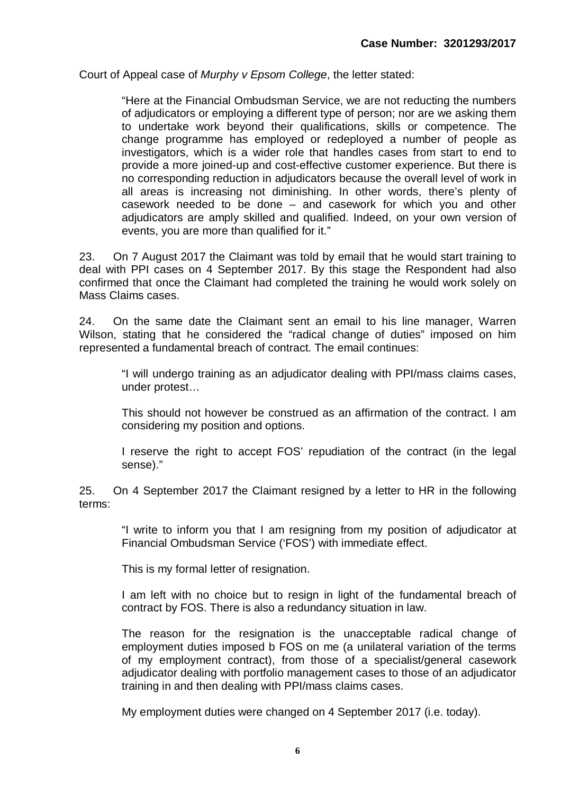Court of Appeal case of *Murphy v Epsom College*, the letter stated:

"Here at the Financial Ombudsman Service, we are not reducting the numbers of adjudicators or employing a different type of person; nor are we asking them to undertake work beyond their qualifications, skills or competence. The change programme has employed or redeployed a number of people as investigators, which is a wider role that handles cases from start to end to provide a more joined-up and cost-effective customer experience. But there is no corresponding reduction in adjudicators because the overall level of work in all areas is increasing not diminishing. In other words, there's plenty of casework needed to be done – and casework for which you and other adjudicators are amply skilled and qualified. Indeed, on your own version of events, you are more than qualified for it."

23. On 7 August 2017 the Claimant was told by email that he would start training to deal with PPI cases on 4 September 2017. By this stage the Respondent had also confirmed that once the Claimant had completed the training he would work solely on Mass Claims cases.

24. On the same date the Claimant sent an email to his line manager, Warren Wilson, stating that he considered the "radical change of duties" imposed on him represented a fundamental breach of contract. The email continues:

"I will undergo training as an adjudicator dealing with PPI/mass claims cases, under protest…

This should not however be construed as an affirmation of the contract. I am considering my position and options.

I reserve the right to accept FOS' repudiation of the contract (in the legal sense)."

25. On 4 September 2017 the Claimant resigned by a letter to HR in the following terms:

"I write to inform you that I am resigning from my position of adjudicator at Financial Ombudsman Service ('FOS') with immediate effect.

This is my formal letter of resignation.

I am left with no choice but to resign in light of the fundamental breach of contract by FOS. There is also a redundancy situation in law.

The reason for the resignation is the unacceptable radical change of employment duties imposed b FOS on me (a unilateral variation of the terms of my employment contract), from those of a specialist/general casework adjudicator dealing with portfolio management cases to those of an adjudicator training in and then dealing with PPI/mass claims cases.

My employment duties were changed on 4 September 2017 (i.e. today).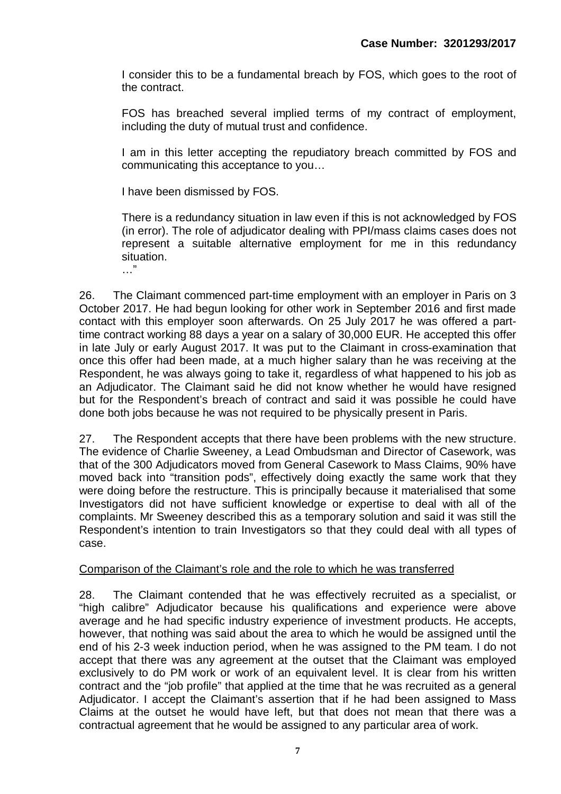I consider this to be a fundamental breach by FOS, which goes to the root of the contract.

FOS has breached several implied terms of my contract of employment, including the duty of mutual trust and confidence.

I am in this letter accepting the repudiatory breach committed by FOS and communicating this acceptance to you…

I have been dismissed by FOS.

There is a redundancy situation in law even if this is not acknowledged by FOS (in error). The role of adjudicator dealing with PPI/mass claims cases does not represent a suitable alternative employment for me in this redundancy situation.

…"

26. The Claimant commenced part-time employment with an employer in Paris on 3 October 2017. He had begun looking for other work in September 2016 and first made contact with this employer soon afterwards. On 25 July 2017 he was offered a parttime contract working 88 days a year on a salary of 30,000 EUR. He accepted this offer in late July or early August 2017. It was put to the Claimant in cross-examination that once this offer had been made, at a much higher salary than he was receiving at the Respondent, he was always going to take it, regardless of what happened to his job as an Adjudicator. The Claimant said he did not know whether he would have resigned but for the Respondent's breach of contract and said it was possible he could have done both jobs because he was not required to be physically present in Paris.

27. The Respondent accepts that there have been problems with the new structure. The evidence of Charlie Sweeney, a Lead Ombudsman and Director of Casework, was that of the 300 Adjudicators moved from General Casework to Mass Claims, 90% have moved back into "transition pods", effectively doing exactly the same work that they were doing before the restructure. This is principally because it materialised that some Investigators did not have sufficient knowledge or expertise to deal with all of the complaints. Mr Sweeney described this as a temporary solution and said it was still the Respondent's intention to train Investigators so that they could deal with all types of case.

#### Comparison of the Claimant's role and the role to which he was transferred

28. The Claimant contended that he was effectively recruited as a specialist, or "high calibre" Adjudicator because his qualifications and experience were above average and he had specific industry experience of investment products. He accepts, however, that nothing was said about the area to which he would be assigned until the end of his 2-3 week induction period, when he was assigned to the PM team. I do not accept that there was any agreement at the outset that the Claimant was employed exclusively to do PM work or work of an equivalent level. It is clear from his written contract and the "job profile" that applied at the time that he was recruited as a general Adjudicator. I accept the Claimant's assertion that if he had been assigned to Mass Claims at the outset he would have left, but that does not mean that there was a contractual agreement that he would be assigned to any particular area of work.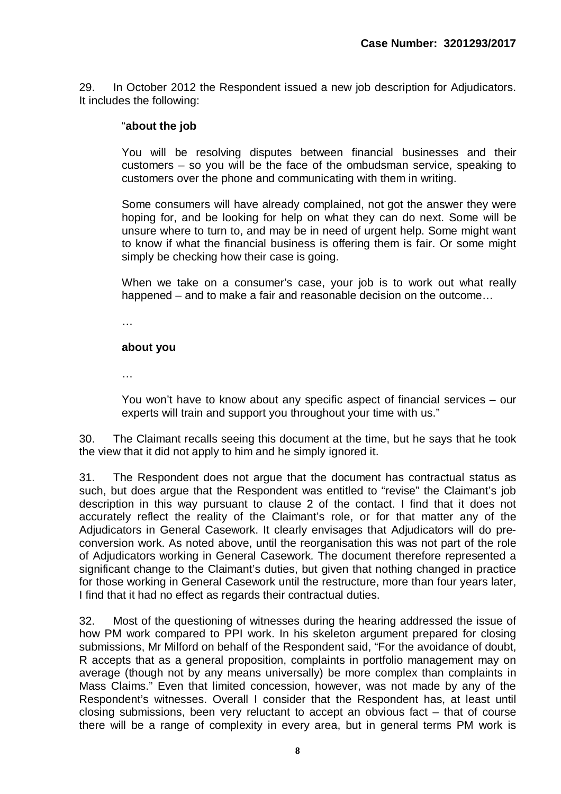29. In October 2012 the Respondent issued a new job description for Adjudicators. It includes the following:

#### "**about the job**

You will be resolving disputes between financial businesses and their customers – so you will be the face of the ombudsman service, speaking to customers over the phone and communicating with them in writing.

Some consumers will have already complained, not got the answer they were hoping for, and be looking for help on what they can do next. Some will be unsure where to turn to, and may be in need of urgent help. Some might want to know if what the financial business is offering them is fair. Or some might simply be checking how their case is going.

When we take on a consumer's case, your job is to work out what really happened – and to make a fair and reasonable decision on the outcome…

…

#### **about you**

…

You won't have to know about any specific aspect of financial services – our experts will train and support you throughout your time with us."

30. The Claimant recalls seeing this document at the time, but he says that he took the view that it did not apply to him and he simply ignored it.

31. The Respondent does not argue that the document has contractual status as such, but does argue that the Respondent was entitled to "revise" the Claimant's job description in this way pursuant to clause 2 of the contact. I find that it does not accurately reflect the reality of the Claimant's role, or for that matter any of the Adjudicators in General Casework. It clearly envisages that Adjudicators will do preconversion work. As noted above, until the reorganisation this was not part of the role of Adjudicators working in General Casework. The document therefore represented a significant change to the Claimant's duties, but given that nothing changed in practice for those working in General Casework until the restructure, more than four years later, I find that it had no effect as regards their contractual duties.

32. Most of the questioning of witnesses during the hearing addressed the issue of how PM work compared to PPI work. In his skeleton argument prepared for closing submissions, Mr Milford on behalf of the Respondent said, "For the avoidance of doubt, R accepts that as a general proposition, complaints in portfolio management may on average (though not by any means universally) be more complex than complaints in Mass Claims." Even that limited concession, however, was not made by any of the Respondent's witnesses. Overall I consider that the Respondent has, at least until closing submissions, been very reluctant to accept an obvious fact – that of course there will be a range of complexity in every area, but in general terms PM work is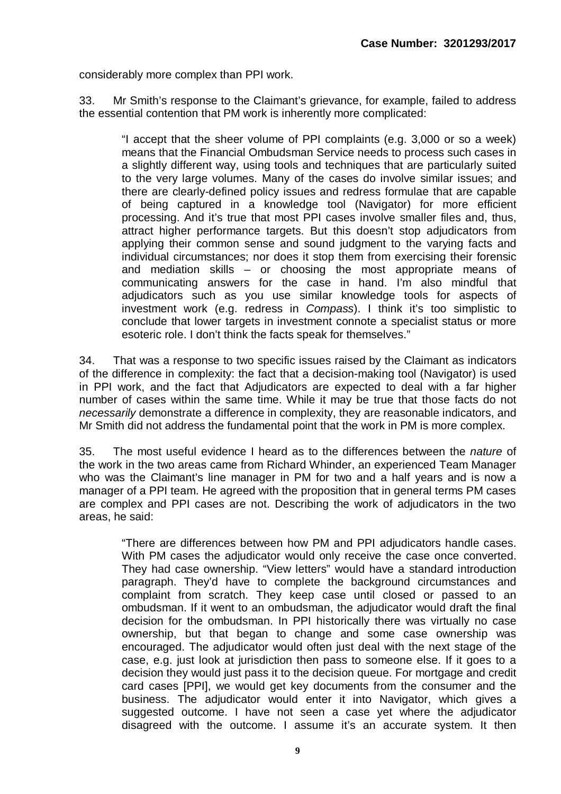considerably more complex than PPI work.

33. Mr Smith's response to the Claimant's grievance, for example, failed to address the essential contention that PM work is inherently more complicated:

"I accept that the sheer volume of PPI complaints (e.g. 3,000 or so a week) means that the Financial Ombudsman Service needs to process such cases in a slightly different way, using tools and techniques that are particularly suited to the very large volumes. Many of the cases do involve similar issues; and there are clearly-defined policy issues and redress formulae that are capable of being captured in a knowledge tool (Navigator) for more efficient processing. And it's true that most PPI cases involve smaller files and, thus, attract higher performance targets. But this doesn't stop adjudicators from applying their common sense and sound judgment to the varying facts and individual circumstances; nor does it stop them from exercising their forensic and mediation skills – or choosing the most appropriate means of communicating answers for the case in hand. I'm also mindful that adjudicators such as you use similar knowledge tools for aspects of investment work (e.g. redress in *Compass*). I think it's too simplistic to conclude that lower targets in investment connote a specialist status or more esoteric role. I don't think the facts speak for themselves."

34. That was a response to two specific issues raised by the Claimant as indicators of the difference in complexity: the fact that a decision-making tool (Navigator) is used in PPI work, and the fact that Adjudicators are expected to deal with a far higher number of cases within the same time. While it may be true that those facts do not *necessarily* demonstrate a difference in complexity, they are reasonable indicators, and Mr Smith did not address the fundamental point that the work in PM is more complex.

35. The most useful evidence I heard as to the differences between the *nature* of the work in the two areas came from Richard Whinder, an experienced Team Manager who was the Claimant's line manager in PM for two and a half years and is now a manager of a PPI team. He agreed with the proposition that in general terms PM cases are complex and PPI cases are not. Describing the work of adjudicators in the two areas, he said:

"There are differences between how PM and PPI adjudicators handle cases. With PM cases the adjudicator would only receive the case once converted. They had case ownership. "View letters" would have a standard introduction paragraph. They'd have to complete the background circumstances and complaint from scratch. They keep case until closed or passed to an ombudsman. If it went to an ombudsman, the adjudicator would draft the final decision for the ombudsman. In PPI historically there was virtually no case ownership, but that began to change and some case ownership was encouraged. The adjudicator would often just deal with the next stage of the case, e.g. just look at jurisdiction then pass to someone else. If it goes to a decision they would just pass it to the decision queue. For mortgage and credit card cases [PPI], we would get key documents from the consumer and the business. The adjudicator would enter it into Navigator, which gives a suggested outcome. I have not seen a case yet where the adjudicator disagreed with the outcome. I assume it's an accurate system. It then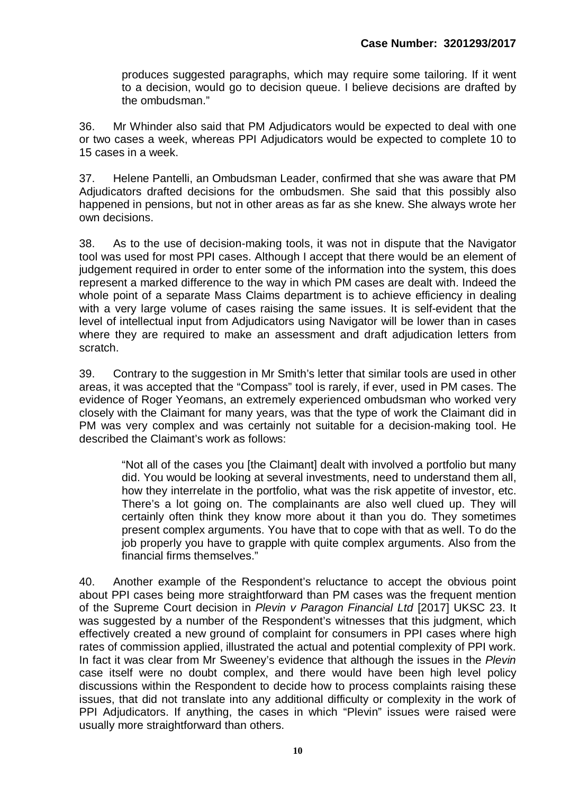produces suggested paragraphs, which may require some tailoring. If it went to a decision, would go to decision queue. I believe decisions are drafted by the ombudsman."

36. Mr Whinder also said that PM Adjudicators would be expected to deal with one or two cases a week, whereas PPI Adjudicators would be expected to complete 10 to 15 cases in a week.

37. Helene Pantelli, an Ombudsman Leader, confirmed that she was aware that PM Adjudicators drafted decisions for the ombudsmen. She said that this possibly also happened in pensions, but not in other areas as far as she knew. She always wrote her own decisions.

38. As to the use of decision-making tools, it was not in dispute that the Navigator tool was used for most PPI cases. Although I accept that there would be an element of judgement required in order to enter some of the information into the system, this does represent a marked difference to the way in which PM cases are dealt with. Indeed the whole point of a separate Mass Claims department is to achieve efficiency in dealing with a very large volume of cases raising the same issues. It is self-evident that the level of intellectual input from Adjudicators using Navigator will be lower than in cases where they are required to make an assessment and draft adjudication letters from scratch.

39. Contrary to the suggestion in Mr Smith's letter that similar tools are used in other areas, it was accepted that the "Compass" tool is rarely, if ever, used in PM cases. The evidence of Roger Yeomans, an extremely experienced ombudsman who worked very closely with the Claimant for many years, was that the type of work the Claimant did in PM was very complex and was certainly not suitable for a decision-making tool. He described the Claimant's work as follows:

"Not all of the cases you [the Claimant] dealt with involved a portfolio but many did. You would be looking at several investments, need to understand them all, how they interrelate in the portfolio, what was the risk appetite of investor, etc. There's a lot going on. The complainants are also well clued up. They will certainly often think they know more about it than you do. They sometimes present complex arguments. You have that to cope with that as well. To do the job properly you have to grapple with quite complex arguments. Also from the financial firms themselves."

40. Another example of the Respondent's reluctance to accept the obvious point about PPI cases being more straightforward than PM cases was the frequent mention of the Supreme Court decision in *Plevin v Paragon Financial Ltd* [2017] UKSC 23. It was suggested by a number of the Respondent's witnesses that this judgment, which effectively created a new ground of complaint for consumers in PPI cases where high rates of commission applied, illustrated the actual and potential complexity of PPI work. In fact it was clear from Mr Sweeney's evidence that although the issues in the *Plevin* case itself were no doubt complex, and there would have been high level policy discussions within the Respondent to decide how to process complaints raising these issues, that did not translate into any additional difficulty or complexity in the work of PPI Adjudicators. If anything, the cases in which "Plevin" issues were raised were usually more straightforward than others.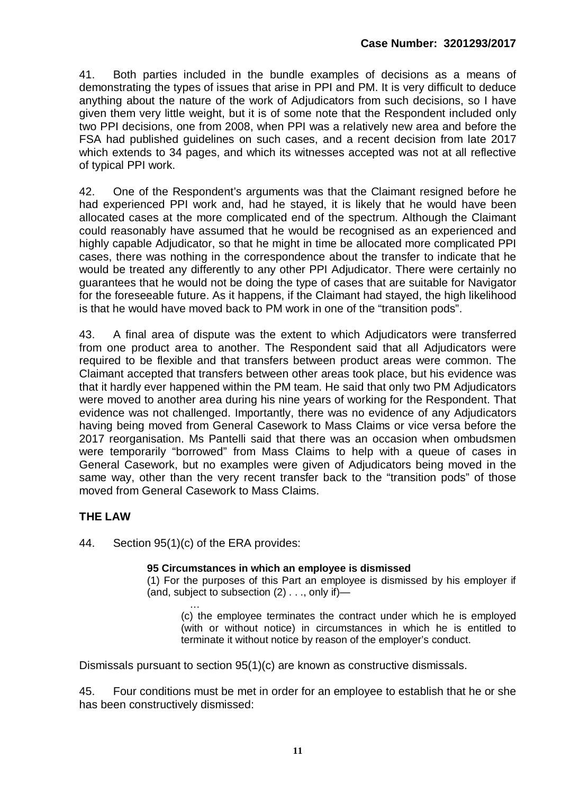41. Both parties included in the bundle examples of decisions as a means of demonstrating the types of issues that arise in PPI and PM. It is very difficult to deduce anything about the nature of the work of Adjudicators from such decisions, so I have given them very little weight, but it is of some note that the Respondent included only two PPI decisions, one from 2008, when PPI was a relatively new area and before the FSA had published guidelines on such cases, and a recent decision from late 2017 which extends to 34 pages, and which its witnesses accepted was not at all reflective of typical PPI work.

42. One of the Respondent's arguments was that the Claimant resigned before he had experienced PPI work and, had he stayed, it is likely that he would have been allocated cases at the more complicated end of the spectrum. Although the Claimant could reasonably have assumed that he would be recognised as an experienced and highly capable Adjudicator, so that he might in time be allocated more complicated PPI cases, there was nothing in the correspondence about the transfer to indicate that he would be treated any differently to any other PPI Adjudicator. There were certainly no guarantees that he would not be doing the type of cases that are suitable for Navigator for the foreseeable future. As it happens, if the Claimant had stayed, the high likelihood is that he would have moved back to PM work in one of the "transition pods".

43. A final area of dispute was the extent to which Adjudicators were transferred from one product area to another. The Respondent said that all Adjudicators were required to be flexible and that transfers between product areas were common. The Claimant accepted that transfers between other areas took place, but his evidence was that it hardly ever happened within the PM team. He said that only two PM Adjudicators were moved to another area during his nine years of working for the Respondent. That evidence was not challenged. Importantly, there was no evidence of any Adjudicators having being moved from General Casework to Mass Claims or vice versa before the 2017 reorganisation. Ms Pantelli said that there was an occasion when ombudsmen were temporarily "borrowed" from Mass Claims to help with a queue of cases in General Casework, but no examples were given of Adjudicators being moved in the same way, other than the very recent transfer back to the "transition pods" of those moved from General Casework to Mass Claims.

#### **THE LAW**

44. Section 95(1)(c) of the ERA provides:

#### **95 Circumstances in which an employee is dismissed**

(1) For the purposes of this Part an employee is dismissed by his employer if (and, subject to subsection (2) . . ., only if)—

… (c) the employee terminates the contract under which he is employed (with or without notice) in circumstances in which he is entitled to terminate it without notice by reason of the employer's conduct.

Dismissals pursuant to section 95(1)(c) are known as constructive dismissals.

45. Four conditions must be met in order for an employee to establish that he or she has been constructively dismissed: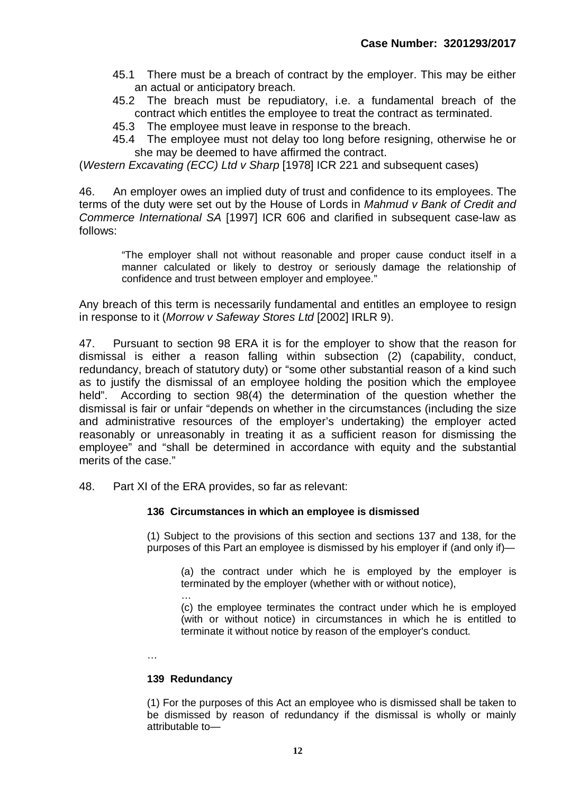- 45.1 There must be a breach of contract by the employer. This may be either an actual or anticipatory breach.
- 45.2 The breach must be repudiatory, i.e. a fundamental breach of the contract which entitles the employee to treat the contract as terminated.
- 45.3 The employee must leave in response to the breach.
- 45.4 The employee must not delay too long before resigning, otherwise he or she may be deemed to have affirmed the contract.

(*Western Excavating (ECC) Ltd v Sharp* [1978] ICR 221 and subsequent cases)

46. An employer owes an implied duty of trust and confidence to its employees. The terms of the duty were set out by the House of Lords in *Mahmud v Bank of Credit and Commerce International SA* [1997] ICR 606 and clarified in subsequent case-law as follows:

"The employer shall not without reasonable and proper cause conduct itself in a manner calculated or likely to destroy or seriously damage the relationship of confidence and trust between employer and employee."

Any breach of this term is necessarily fundamental and entitles an employee to resign in response to it (*Morrow v Safeway Stores Ltd* [2002] IRLR 9).

47. Pursuant to section 98 ERA it is for the employer to show that the reason for dismissal is either a reason falling within subsection (2) (capability, conduct, redundancy, breach of statutory duty) or "some other substantial reason of a kind such as to justify the dismissal of an employee holding the position which the employee held". According to section 98(4) the determination of the question whether the dismissal is fair or unfair "depends on whether in the circumstances (including the size and administrative resources of the employer's undertaking) the employer acted reasonably or unreasonably in treating it as a sufficient reason for dismissing the employee" and "shall be determined in accordance with equity and the substantial merits of the case."

48. Part XI of the ERA provides, so far as relevant:

#### **136 Circumstances in which an employee is dismissed**

(1) Subject to the provisions of this section and sections 137 and 138, for the purposes of this Part an employee is dismissed by his employer if (and only if)—

(a) the contract under which he is employed by the employer is terminated by the employer (whether with or without notice),

… (c) the employee terminates the contract under which he is employed (with or without notice) in circumstances in which he is entitled to terminate it without notice by reason of the employer's conduct.

…

#### **139 Redundancy**

(1) For the purposes of this Act an employee who is dismissed shall be taken to be dismissed by reason of redundancy if the dismissal is wholly or mainly attributable to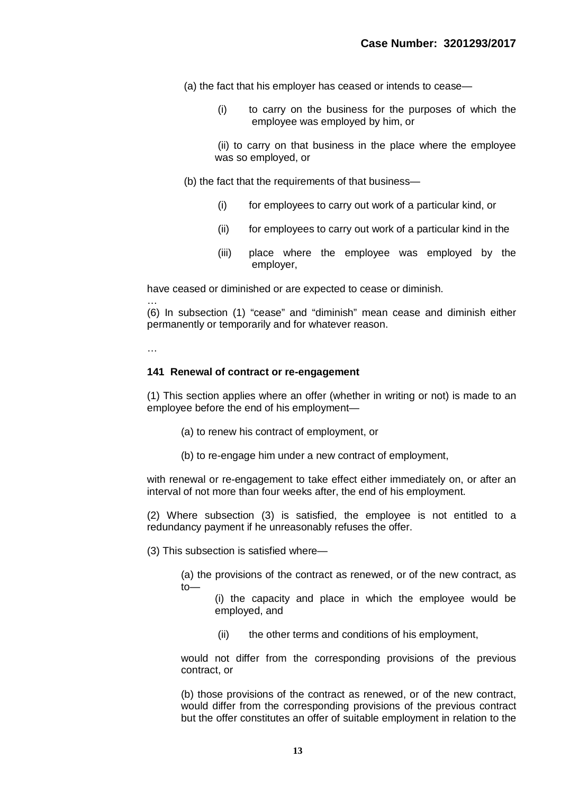(a) the fact that his employer has ceased or intends to cease—

(i) to carry on the business for the purposes of which the employee was employed by him, or

 (ii) to carry on that business in the place where the employee was so employed, or

(b) the fact that the requirements of that business—

- (i) for employees to carry out work of a particular kind, or
- (ii) for employees to carry out work of a particular kind in the
- (iii) place where the employee was employed by the employer,

have ceased or diminished or are expected to cease or diminish.

… (6) In subsection (1) "cease" and "diminish" mean cease and diminish either permanently or temporarily and for whatever reason.

…

#### **141 Renewal of contract or re-engagement**

(1) This section applies where an offer (whether in writing or not) is made to an employee before the end of his employment—

- (a) to renew his contract of employment, or
- (b) to re-engage him under a new contract of employment,

with renewal or re-engagement to take effect either immediately on, or after an interval of not more than four weeks after, the end of his employment.

(2) Where subsection (3) is satisfied, the employee is not entitled to a redundancy payment if he unreasonably refuses the offer.

(3) This subsection is satisfied where—

(a) the provisions of the contract as renewed, or of the new contract, as to—

(i) the capacity and place in which the employee would be employed, and

(ii) the other terms and conditions of his employment,

would not differ from the corresponding provisions of the previous contract, or

(b) those provisions of the contract as renewed, or of the new contract, would differ from the corresponding provisions of the previous contract but the offer constitutes an offer of suitable employment in relation to the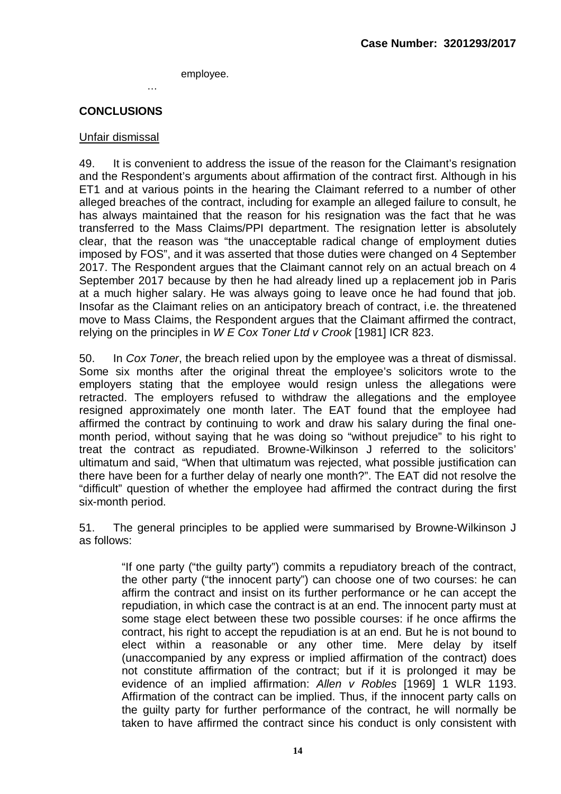employee.

#### **CONCLUSIONS**

…

#### Unfair dismissal

49. It is convenient to address the issue of the reason for the Claimant's resignation and the Respondent's arguments about affirmation of the contract first. Although in his ET1 and at various points in the hearing the Claimant referred to a number of other alleged breaches of the contract, including for example an alleged failure to consult, he has always maintained that the reason for his resignation was the fact that he was transferred to the Mass Claims/PPI department. The resignation letter is absolutely clear, that the reason was "the unacceptable radical change of employment duties imposed by FOS", and it was asserted that those duties were changed on 4 September 2017. The Respondent argues that the Claimant cannot rely on an actual breach on 4 September 2017 because by then he had already lined up a replacement job in Paris at a much higher salary. He was always going to leave once he had found that job. Insofar as the Claimant relies on an anticipatory breach of contract, i.e. the threatened move to Mass Claims, the Respondent argues that the Claimant affirmed the contract, relying on the principles in *W E Cox Toner Ltd v Crook* [1981] ICR 823.

50. In *Cox Toner*, the breach relied upon by the employee was a threat of dismissal. Some six months after the original threat the employee's solicitors wrote to the employers stating that the employee would resign unless the allegations were retracted. The employers refused to withdraw the allegations and the employee resigned approximately one month later. The EAT found that the employee had affirmed the contract by continuing to work and draw his salary during the final onemonth period, without saying that he was doing so "without prejudice" to his right to treat the contract as repudiated. Browne-Wilkinson J referred to the solicitors' ultimatum and said, "When that ultimatum was rejected, what possible justification can there have been for a further delay of nearly one month?". The EAT did not resolve the "difficult" question of whether the employee had affirmed the contract during the first six-month period.

51. The general principles to be applied were summarised by Browne-Wilkinson J as follows:

"If one party ("the guilty party") commits a repudiatory breach of the contract, the other party ("the innocent party") can choose one of two courses: he can affirm the contract and insist on its further performance or he can accept the repudiation, in which case the contract is at an end. The innocent party must at some stage elect between these two possible courses: if he once affirms the contract, his right to accept the repudiation is at an end. But he is not bound to elect within a reasonable or any other time. Mere delay by itself (unaccompanied by any express or implied affirmation of the contract) does not constitute affirmation of the contract; but if it is prolonged it may be evidence of an implied affirmation: *Allen v Robles* [1969] 1 WLR 1193. Affirmation of the contract can be implied. Thus, if the innocent party calls on the guilty party for further performance of the contract, he will normally be taken to have affirmed the contract since his conduct is only consistent with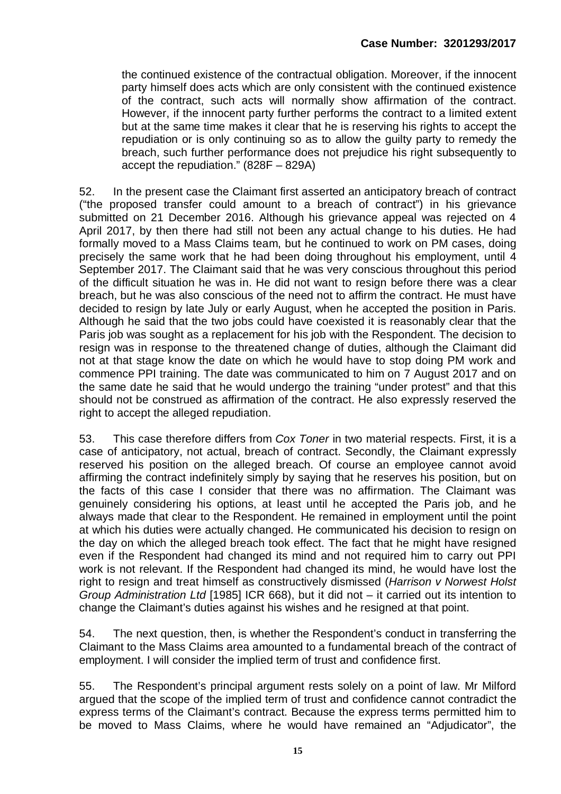the continued existence of the contractual obligation. Moreover, if the innocent party himself does acts which are only consistent with the continued existence of the contract, such acts will normally show affirmation of the contract. However, if the innocent party further performs the contract to a limited extent but at the same time makes it clear that he is reserving his rights to accept the repudiation or is only continuing so as to allow the guilty party to remedy the breach, such further performance does not prejudice his right subsequently to accept the repudiation." (828F – 829A)

52. In the present case the Claimant first asserted an anticipatory breach of contract ("the proposed transfer could amount to a breach of contract") in his grievance submitted on 21 December 2016. Although his grievance appeal was rejected on 4 April 2017, by then there had still not been any actual change to his duties. He had formally moved to a Mass Claims team, but he continued to work on PM cases, doing precisely the same work that he had been doing throughout his employment, until 4 September 2017. The Claimant said that he was very conscious throughout this period of the difficult situation he was in. He did not want to resign before there was a clear breach, but he was also conscious of the need not to affirm the contract. He must have decided to resign by late July or early August, when he accepted the position in Paris. Although he said that the two jobs could have coexisted it is reasonably clear that the Paris job was sought as a replacement for his job with the Respondent. The decision to resign was in response to the threatened change of duties, although the Claimant did not at that stage know the date on which he would have to stop doing PM work and commence PPI training. The date was communicated to him on 7 August 2017 and on the same date he said that he would undergo the training "under protest" and that this should not be construed as affirmation of the contract. He also expressly reserved the right to accept the alleged repudiation.

53. This case therefore differs from *Cox Toner* in two material respects. First, it is a case of anticipatory, not actual, breach of contract. Secondly, the Claimant expressly reserved his position on the alleged breach. Of course an employee cannot avoid affirming the contract indefinitely simply by saying that he reserves his position, but on the facts of this case I consider that there was no affirmation. The Claimant was genuinely considering his options, at least until he accepted the Paris job, and he always made that clear to the Respondent. He remained in employment until the point at which his duties were actually changed. He communicated his decision to resign on the day on which the alleged breach took effect. The fact that he might have resigned even if the Respondent had changed its mind and not required him to carry out PPI work is not relevant. If the Respondent had changed its mind, he would have lost the right to resign and treat himself as constructively dismissed (*Harrison v Norwest Holst Group Administration Ltd* [1985] ICR 668), but it did not – it carried out its intention to change the Claimant's duties against his wishes and he resigned at that point.

54. The next question, then, is whether the Respondent's conduct in transferring the Claimant to the Mass Claims area amounted to a fundamental breach of the contract of employment. I will consider the implied term of trust and confidence first.

55. The Respondent's principal argument rests solely on a point of law. Mr Milford argued that the scope of the implied term of trust and confidence cannot contradict the express terms of the Claimant's contract. Because the express terms permitted him to be moved to Mass Claims, where he would have remained an "Adjudicator", the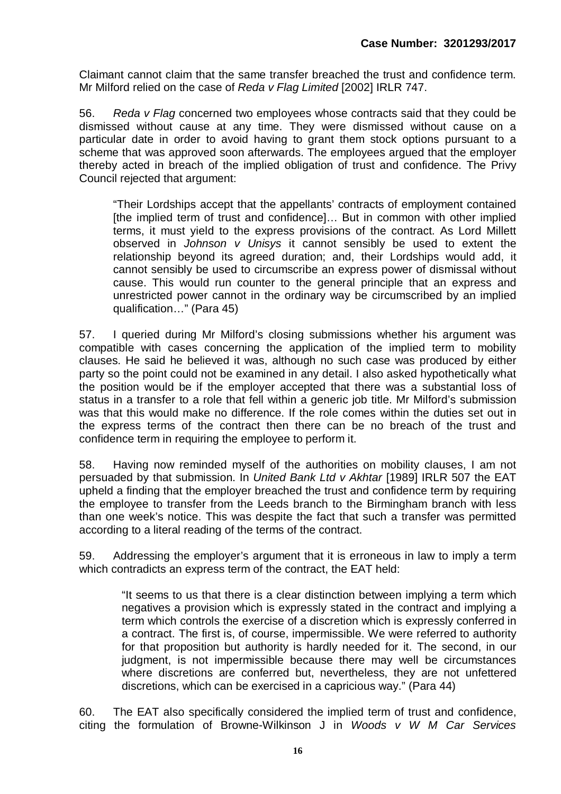Claimant cannot claim that the same transfer breached the trust and confidence term. Mr Milford relied on the case of *Reda v Flag Limited* [2002] IRLR 747.

56. *Reda v Flag* concerned two employees whose contracts said that they could be dismissed without cause at any time. They were dismissed without cause on a particular date in order to avoid having to grant them stock options pursuant to a scheme that was approved soon afterwards. The employees argued that the employer thereby acted in breach of the implied obligation of trust and confidence. The Privy Council rejected that argument:

"Their Lordships accept that the appellants' contracts of employment contained [the implied term of trust and confidence]… But in common with other implied terms, it must yield to the express provisions of the contract. As Lord Millett observed in *Johnson v Unisys* it cannot sensibly be used to extent the relationship beyond its agreed duration; and, their Lordships would add, it cannot sensibly be used to circumscribe an express power of dismissal without cause. This would run counter to the general principle that an express and unrestricted power cannot in the ordinary way be circumscribed by an implied qualification…" (Para 45)

57. I queried during Mr Milford's closing submissions whether his argument was compatible with cases concerning the application of the implied term to mobility clauses. He said he believed it was, although no such case was produced by either party so the point could not be examined in any detail. I also asked hypothetically what the position would be if the employer accepted that there was a substantial loss of status in a transfer to a role that fell within a generic job title. Mr Milford's submission was that this would make no difference. If the role comes within the duties set out in the express terms of the contract then there can be no breach of the trust and confidence term in requiring the employee to perform it.

58. Having now reminded myself of the authorities on mobility clauses, I am not persuaded by that submission. In *United Bank Ltd v Akhtar* [1989] IRLR 507 the EAT upheld a finding that the employer breached the trust and confidence term by requiring the employee to transfer from the Leeds branch to the Birmingham branch with less than one week's notice. This was despite the fact that such a transfer was permitted according to a literal reading of the terms of the contract.

59. Addressing the employer's argument that it is erroneous in law to imply a term which contradicts an express term of the contract, the EAT held:

"It seems to us that there is a clear distinction between implying a term which negatives a provision which is expressly stated in the contract and implying a term which controls the exercise of a discretion which is expressly conferred in a contract. The first is, of course, impermissible. We were referred to authority for that proposition but authority is hardly needed for it. The second, in our judgment, is not impermissible because there may well be circumstances where discretions are conferred but, nevertheless, they are not unfettered discretions, which can be exercised in a capricious way." (Para 44)

60. The EAT also specifically considered the implied term of trust and confidence, citing the formulation of Browne-Wilkinson J in *Woods v W M Car Services*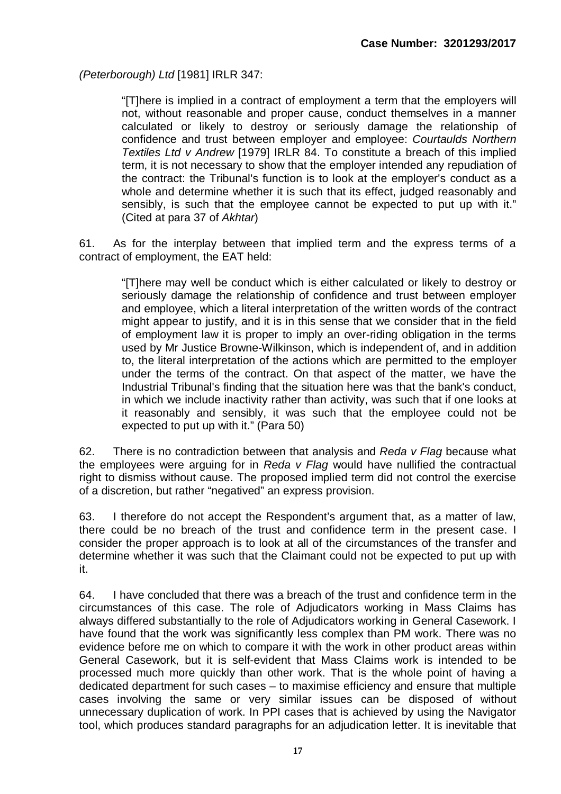*(Peterborough) Ltd* [1981] IRLR 347:

"[T]here is implied in a contract of employment a term that the employers will not, without reasonable and proper cause, conduct themselves in a manner calculated or likely to destroy or seriously damage the relationship of confidence and trust between employer and employee: *Courtaulds Northern Textiles Ltd v Andrew* [1979] IRLR 84. To constitute a breach of this implied term, it is not necessary to show that the employer intended any repudiation of the contract: the Tribunal's function is to look at the employer's conduct as a whole and determine whether it is such that its effect, judged reasonably and sensibly, is such that the employee cannot be expected to put up with it." (Cited at para 37 of *Akhtar*)

61. As for the interplay between that implied term and the express terms of a contract of employment, the EAT held:

"[T]here may well be conduct which is either calculated or likely to destroy or seriously damage the relationship of confidence and trust between employer and employee, which a literal interpretation of the written words of the contract might appear to justify, and it is in this sense that we consider that in the field of employment law it is proper to imply an over-riding obligation in the terms used by Mr Justice Browne-Wilkinson, which is independent of, and in addition to, the literal interpretation of the actions which are permitted to the employer under the terms of the contract. On that aspect of the matter, we have the Industrial Tribunal's finding that the situation here was that the bank's conduct, in which we include inactivity rather than activity, was such that if one looks at it reasonably and sensibly, it was such that the employee could not be expected to put up with it." (Para 50)

62. There is no contradiction between that analysis and *Reda v Flag* because what the employees were arguing for in *Reda v Flag* would have nullified the contractual right to dismiss without cause. The proposed implied term did not control the exercise of a discretion, but rather "negatived" an express provision.

63. I therefore do not accept the Respondent's argument that, as a matter of law, there could be no breach of the trust and confidence term in the present case. I consider the proper approach is to look at all of the circumstances of the transfer and determine whether it was such that the Claimant could not be expected to put up with it.

64. I have concluded that there was a breach of the trust and confidence term in the circumstances of this case. The role of Adjudicators working in Mass Claims has always differed substantially to the role of Adjudicators working in General Casework. I have found that the work was significantly less complex than PM work. There was no evidence before me on which to compare it with the work in other product areas within General Casework, but it is self-evident that Mass Claims work is intended to be processed much more quickly than other work. That is the whole point of having a dedicated department for such cases – to maximise efficiency and ensure that multiple cases involving the same or very similar issues can be disposed of without unnecessary duplication of work. In PPI cases that is achieved by using the Navigator tool, which produces standard paragraphs for an adjudication letter. It is inevitable that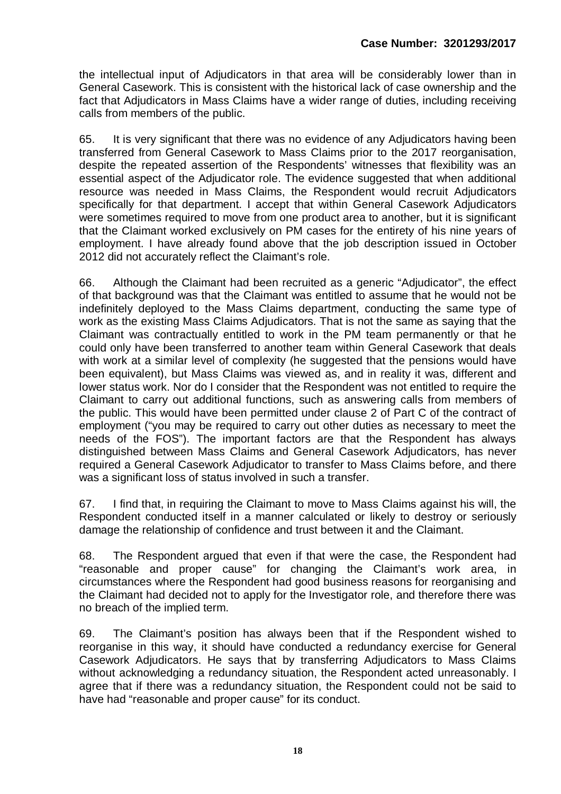the intellectual input of Adjudicators in that area will be considerably lower than in General Casework. This is consistent with the historical lack of case ownership and the fact that Adjudicators in Mass Claims have a wider range of duties, including receiving calls from members of the public.

65. It is very significant that there was no evidence of any Adjudicators having been transferred from General Casework to Mass Claims prior to the 2017 reorganisation, despite the repeated assertion of the Respondents' witnesses that flexibility was an essential aspect of the Adjudicator role. The evidence suggested that when additional resource was needed in Mass Claims, the Respondent would recruit Adjudicators specifically for that department. I accept that within General Casework Adjudicators were sometimes required to move from one product area to another, but it is significant that the Claimant worked exclusively on PM cases for the entirety of his nine years of employment. I have already found above that the job description issued in October 2012 did not accurately reflect the Claimant's role.

66. Although the Claimant had been recruited as a generic "Adjudicator", the effect of that background was that the Claimant was entitled to assume that he would not be indefinitely deployed to the Mass Claims department, conducting the same type of work as the existing Mass Claims Adjudicators. That is not the same as saying that the Claimant was contractually entitled to work in the PM team permanently or that he could only have been transferred to another team within General Casework that deals with work at a similar level of complexity (he suggested that the pensions would have been equivalent), but Mass Claims was viewed as, and in reality it was, different and lower status work. Nor do I consider that the Respondent was not entitled to require the Claimant to carry out additional functions, such as answering calls from members of the public. This would have been permitted under clause 2 of Part C of the contract of employment ("you may be required to carry out other duties as necessary to meet the needs of the FOS"). The important factors are that the Respondent has always distinguished between Mass Claims and General Casework Adjudicators, has never required a General Casework Adjudicator to transfer to Mass Claims before, and there was a significant loss of status involved in such a transfer.

67. I find that, in requiring the Claimant to move to Mass Claims against his will, the Respondent conducted itself in a manner calculated or likely to destroy or seriously damage the relationship of confidence and trust between it and the Claimant.

68. The Respondent argued that even if that were the case, the Respondent had "reasonable and proper cause" for changing the Claimant's work area, in circumstances where the Respondent had good business reasons for reorganising and the Claimant had decided not to apply for the Investigator role, and therefore there was no breach of the implied term.

69. The Claimant's position has always been that if the Respondent wished to reorganise in this way, it should have conducted a redundancy exercise for General Casework Adjudicators. He says that by transferring Adjudicators to Mass Claims without acknowledging a redundancy situation, the Respondent acted unreasonably. I agree that if there was a redundancy situation, the Respondent could not be said to have had "reasonable and proper cause" for its conduct.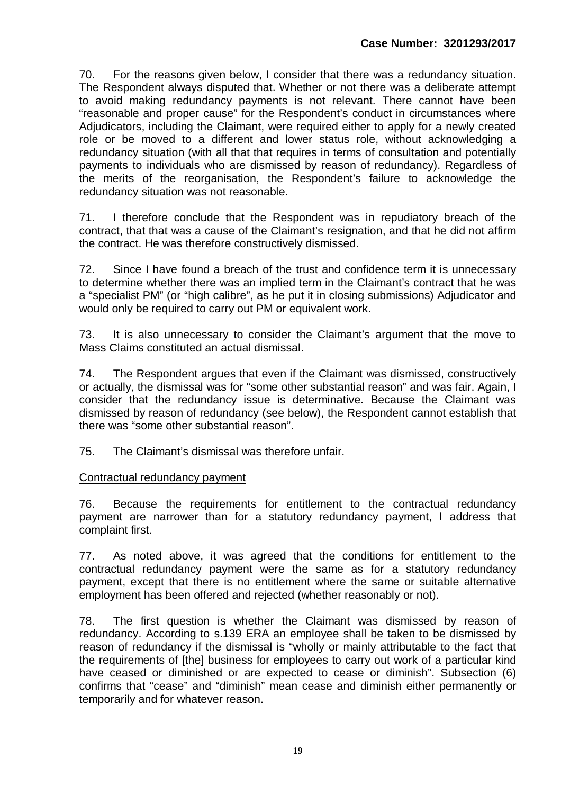70. For the reasons given below, I consider that there was a redundancy situation. The Respondent always disputed that. Whether or not there was a deliberate attempt to avoid making redundancy payments is not relevant. There cannot have been "reasonable and proper cause" for the Respondent's conduct in circumstances where Adjudicators, including the Claimant, were required either to apply for a newly created role or be moved to a different and lower status role, without acknowledging a redundancy situation (with all that that requires in terms of consultation and potentially payments to individuals who are dismissed by reason of redundancy). Regardless of the merits of the reorganisation, the Respondent's failure to acknowledge the redundancy situation was not reasonable.

71. I therefore conclude that the Respondent was in repudiatory breach of the contract, that that was a cause of the Claimant's resignation, and that he did not affirm the contract. He was therefore constructively dismissed.

72. Since I have found a breach of the trust and confidence term it is unnecessary to determine whether there was an implied term in the Claimant's contract that he was a "specialist PM" (or "high calibre", as he put it in closing submissions) Adjudicator and would only be required to carry out PM or equivalent work.

73. It is also unnecessary to consider the Claimant's argument that the move to Mass Claims constituted an actual dismissal.

74. The Respondent argues that even if the Claimant was dismissed, constructively or actually, the dismissal was for "some other substantial reason" and was fair. Again, I consider that the redundancy issue is determinative. Because the Claimant was dismissed by reason of redundancy (see below), the Respondent cannot establish that there was "some other substantial reason".

75. The Claimant's dismissal was therefore unfair.

#### Contractual redundancy payment

76. Because the requirements for entitlement to the contractual redundancy payment are narrower than for a statutory redundancy payment, I address that complaint first.

77. As noted above, it was agreed that the conditions for entitlement to the contractual redundancy payment were the same as for a statutory redundancy payment, except that there is no entitlement where the same or suitable alternative employment has been offered and rejected (whether reasonably or not).

78. The first question is whether the Claimant was dismissed by reason of redundancy. According to s.139 ERA an employee shall be taken to be dismissed by reason of redundancy if the dismissal is "wholly or mainly attributable to the fact that the requirements of [the] business for employees to carry out work of a particular kind have ceased or diminished or are expected to cease or diminish". Subsection (6) confirms that "cease" and "diminish" mean cease and diminish either permanently or temporarily and for whatever reason.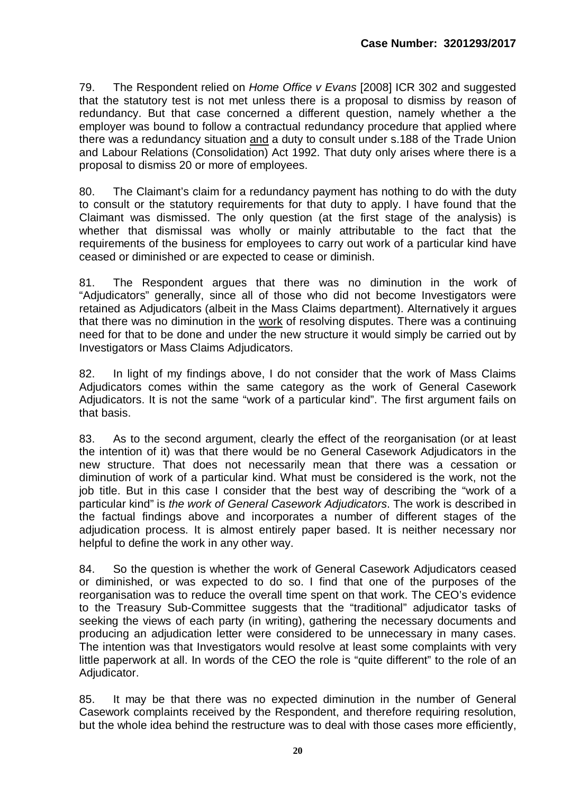79. The Respondent relied on *Home Office v Evans* [2008] ICR 302 and suggested that the statutory test is not met unless there is a proposal to dismiss by reason of redundancy. But that case concerned a different question, namely whether a the employer was bound to follow a contractual redundancy procedure that applied where there was a redundancy situation and a duty to consult under s.188 of the Trade Union and Labour Relations (Consolidation) Act 1992. That duty only arises where there is a proposal to dismiss 20 or more of employees.

80. The Claimant's claim for a redundancy payment has nothing to do with the duty to consult or the statutory requirements for that duty to apply. I have found that the Claimant was dismissed. The only question (at the first stage of the analysis) is whether that dismissal was wholly or mainly attributable to the fact that the requirements of the business for employees to carry out work of a particular kind have ceased or diminished or are expected to cease or diminish.

81. The Respondent argues that there was no diminution in the work of "Adjudicators" generally, since all of those who did not become Investigators were retained as Adjudicators (albeit in the Mass Claims department). Alternatively it argues that there was no diminution in the work of resolving disputes. There was a continuing need for that to be done and under the new structure it would simply be carried out by Investigators or Mass Claims Adjudicators.

82. In light of my findings above, I do not consider that the work of Mass Claims Adjudicators comes within the same category as the work of General Casework Adjudicators. It is not the same "work of a particular kind". The first argument fails on that basis.

83. As to the second argument, clearly the effect of the reorganisation (or at least the intention of it) was that there would be no General Casework Adjudicators in the new structure. That does not necessarily mean that there was a cessation or diminution of work of a particular kind. What must be considered is the work, not the iob title. But in this case I consider that the best way of describing the "work of a particular kind" is *the work of General Casework Adjudicators*. The work is described in the factual findings above and incorporates a number of different stages of the adjudication process. It is almost entirely paper based. It is neither necessary nor helpful to define the work in any other way.

84. So the question is whether the work of General Casework Adjudicators ceased or diminished, or was expected to do so. I find that one of the purposes of the reorganisation was to reduce the overall time spent on that work. The CEO's evidence to the Treasury Sub-Committee suggests that the "traditional" adjudicator tasks of seeking the views of each party (in writing), gathering the necessary documents and producing an adjudication letter were considered to be unnecessary in many cases. The intention was that Investigators would resolve at least some complaints with very little paperwork at all. In words of the CEO the role is "quite different" to the role of an Adjudicator.

85. It may be that there was no expected diminution in the number of General Casework complaints received by the Respondent, and therefore requiring resolution, but the whole idea behind the restructure was to deal with those cases more efficiently,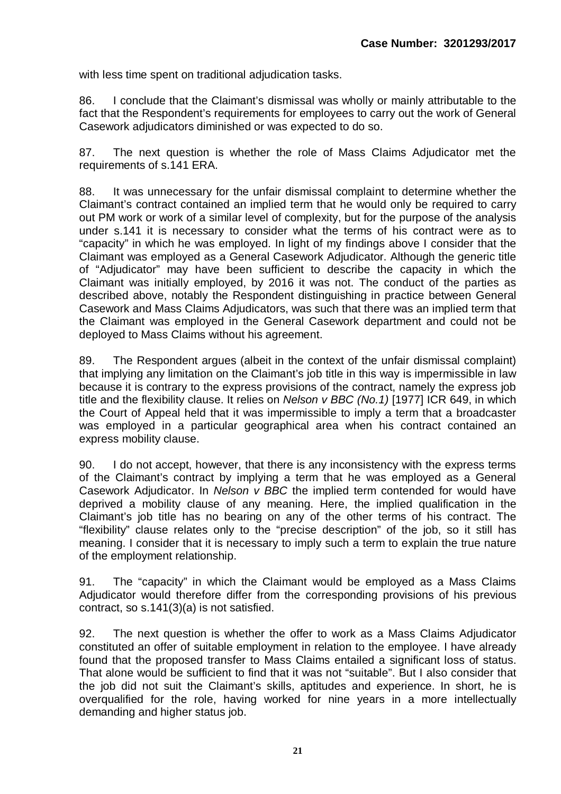with less time spent on traditional adjudication tasks.

86. I conclude that the Claimant's dismissal was wholly or mainly attributable to the fact that the Respondent's requirements for employees to carry out the work of General Casework adjudicators diminished or was expected to do so.

87. The next question is whether the role of Mass Claims Adjudicator met the requirements of s.141 ERA.

88. It was unnecessary for the unfair dismissal complaint to determine whether the Claimant's contract contained an implied term that he would only be required to carry out PM work or work of a similar level of complexity, but for the purpose of the analysis under s.141 it is necessary to consider what the terms of his contract were as to "capacity" in which he was employed. In light of my findings above I consider that the Claimant was employed as a General Casework Adjudicator. Although the generic title of "Adjudicator" may have been sufficient to describe the capacity in which the Claimant was initially employed, by 2016 it was not. The conduct of the parties as described above, notably the Respondent distinguishing in practice between General Casework and Mass Claims Adjudicators, was such that there was an implied term that the Claimant was employed in the General Casework department and could not be deployed to Mass Claims without his agreement.

89. The Respondent argues (albeit in the context of the unfair dismissal complaint) that implying any limitation on the Claimant's job title in this way is impermissible in law because it is contrary to the express provisions of the contract, namely the express job title and the flexibility clause. It relies on *Nelson v BBC (No.1)* [1977] ICR 649, in which the Court of Appeal held that it was impermissible to imply a term that a broadcaster was employed in a particular geographical area when his contract contained an express mobility clause.

90. I do not accept, however, that there is any inconsistency with the express terms of the Claimant's contract by implying a term that he was employed as a General Casework Adjudicator. In *Nelson v BBC* the implied term contended for would have deprived a mobility clause of any meaning. Here, the implied qualification in the Claimant's job title has no bearing on any of the other terms of his contract. The "flexibility" clause relates only to the "precise description" of the job, so it still has meaning. I consider that it is necessary to imply such a term to explain the true nature of the employment relationship.

91. The "capacity" in which the Claimant would be employed as a Mass Claims Adjudicator would therefore differ from the corresponding provisions of his previous contract, so s.141(3)(a) is not satisfied.

92. The next question is whether the offer to work as a Mass Claims Adjudicator constituted an offer of suitable employment in relation to the employee. I have already found that the proposed transfer to Mass Claims entailed a significant loss of status. That alone would be sufficient to find that it was not "suitable". But I also consider that the job did not suit the Claimant's skills, aptitudes and experience. In short, he is overqualified for the role, having worked for nine years in a more intellectually demanding and higher status job.